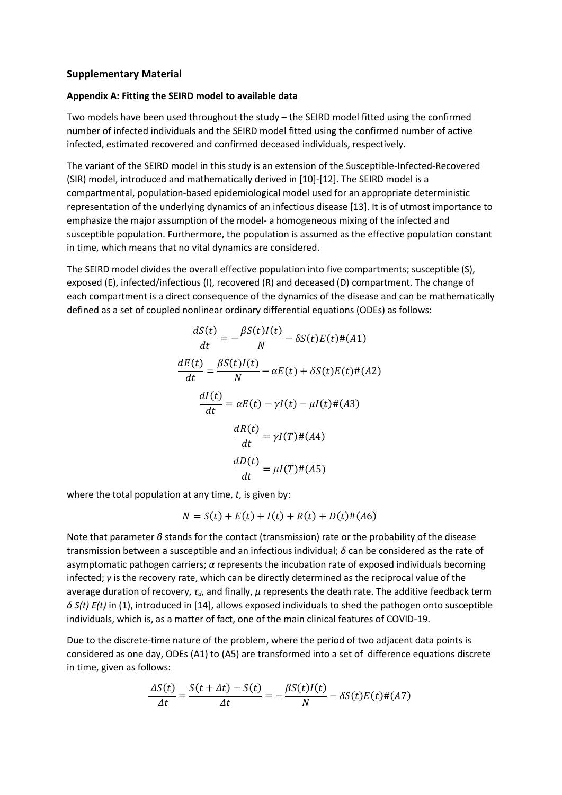## **Supplementary Material**

## **Appendix A: Fitting the SEIRD model to available data**

Two models have been used throughout the study – the SEIRD model fitted using the confirmed number of infected individuals and the SEIRD model fitted using the confirmed number of active infected, estimated recovered and confirmed deceased individuals, respectively.

The variant of the SEIRD model in this study is an extension of the Susceptible-Infected-Recovered (SIR) model, introduced and mathematically derived in [10]-[12]. The SEIRD model is a compartmental, population-based epidemiological model used for an appropriate deterministic representation of the underlying dynamics of an infectious disease [13]. It is of utmost importance to emphasize the major assumption of the model- a homogeneous mixing of the infected and susceptible population. Furthermore, the population is assumed as the effective population constant in time, which means that no vital dynamics are considered.

The SEIRD model divides the overall effective population into five compartments; susceptible (S), exposed (E), infected/infectious (I), recovered (R) and deceased (D) compartment. The change of each compartment is a direct consequence of the dynamics of the disease and can be mathematically defined as a set of coupled nonlinear ordinary differential equations (ODEs) as follows:

$$
\frac{dS(t)}{dt} = -\frac{\beta S(t)I(t)}{N} - \delta S(t)E(t) \# (A1)
$$

$$
\frac{dE(t)}{dt} = \frac{\beta S(t)I(t)}{N} - \alpha E(t) + \delta S(t)E(t) \# (A2)
$$

$$
\frac{dI(t)}{dt} = \alpha E(t) - \gamma I(t) - \mu I(t) \# (A3)
$$

$$
\frac{dR(t)}{dt} = \gamma I(T) \# (A4)
$$

$$
\frac{dD(t)}{dt} = \mu I(T) \# (A5)
$$

where the total population at any time, *t*, is given by:

$$
N = S(t) + E(t) + I(t) + R(t) + D(t) \# (A6)
$$

Note that parameter *β* stands for the contact (transmission) rate or the probability of the disease transmission between a susceptible and an infectious individual; *δ* can be considered as the rate of asymptomatic pathogen carriers; *α* represents the incubation rate of exposed individuals becoming infected; *γ* is the recovery rate, which can be directly determined as the reciprocal value of the average duration of recovery, *τd*, and finally, *μ* represents the death rate. The additive feedback term *δ S(t) E(t)* in (1), introduced in [14], allows exposed individuals to shed the pathogen onto susceptible individuals, which is, as a matter of fact, one of the main clinical features of COVID-19.

Due to the discrete-time nature of the problem, where the period of two adjacent data points is considered as one day, ODEs (A1) to (A5) are transformed into a set of difference equations discrete in time, given as follows:

$$
\frac{\Delta S(t)}{\Delta t} = \frac{S(t + \Delta t) - S(t)}{\Delta t} = -\frac{\beta S(t)I(t)}{N} - \delta S(t)E(t) \# (A7)
$$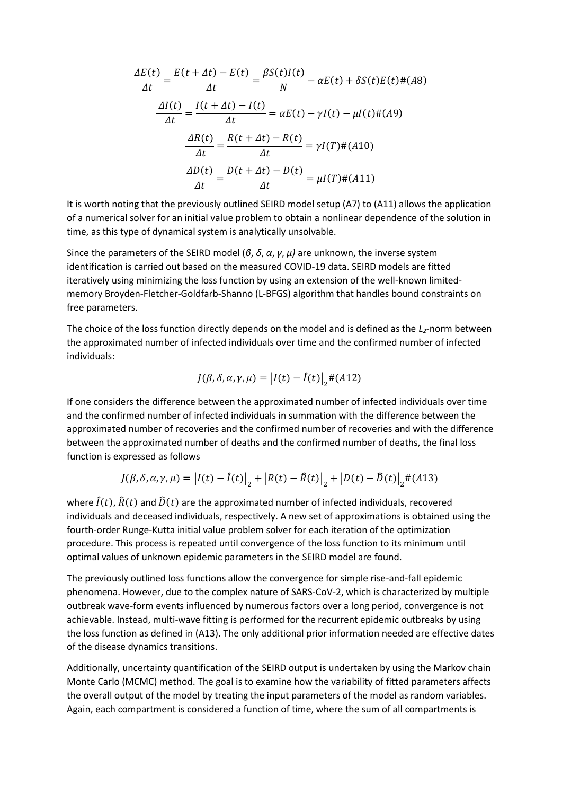$$
\frac{\Delta E(t)}{\Delta t} = \frac{E(t + \Delta t) - E(t)}{\Delta t} = \frac{\beta S(t)I(t)}{N} - \alpha E(t) + \delta S(t)E(t) \# (A8)
$$

$$
\frac{\Delta I(t)}{\Delta t} = \frac{I(t + \Delta t) - I(t)}{\Delta t} = \alpha E(t) - \gamma I(t) - \mu I(t) \# (A9)
$$

$$
\frac{\Delta R(t)}{\Delta t} = \frac{R(t + \Delta t) - R(t)}{\Delta t} = \gamma I(T) \# (A10)
$$

$$
\frac{\Delta D(t)}{\Delta t} = \frac{D(t + \Delta t) - D(t)}{\Delta t} = \mu I(T) \# (A11)
$$

It is worth noting that the previously outlined SEIRD model setup (A7) to (A11) allows the application of a numerical solver for an initial value problem to obtain a nonlinear dependence of the solution in time, as this type of dynamical system is analytically unsolvable.

Since the parameters of the SEIRD model (*β*, *δ*, *α*, *γ*, *μ)* are unknown, the inverse system identification is carried out based on the measured COVID-19 data. SEIRD models are fitted iteratively using minimizing the loss function by using an extension of the well-known limitedmemory Broyden-Fletcher-Goldfarb-Shanno (L-BFGS) algorithm that handles bound constraints on free parameters.

The choice of the loss function directly depends on the model and is defined as the *L2*-norm between the approximated number of infected individuals over time and the confirmed number of infected individuals:

$$
J(\beta, \delta, \alpha, \gamma, \mu) = |I(t) - \hat{I}(t)|_2 \#(A12)
$$

If one considers the difference between the approximated number of infected individuals over time and the confirmed number of infected individuals in summation with the difference between the approximated number of recoveries and the confirmed number of recoveries and with the difference between the approximated number of deaths and the confirmed number of deaths, the final loss function is expressed as follows

$$
J(\beta, \delta, \alpha, \gamma, \mu) = |I(t) - \hat{I}(t)|_2 + |R(t) - \hat{R}(t)|_2 + |D(t) - \hat{D}(t)|_2 + (A13)
$$

where  $\hat{I}(t)$ ,  $\hat{R}(t)$  and  $\hat{D}(t)$  are the approximated number of infected individuals, recovered individuals and deceased individuals, respectively. A new set of approximations is obtained using the fourth-order Runge-Kutta initial value problem solver for each iteration of the optimization procedure. This process is repeated until convergence of the loss function to its minimum until optimal values of unknown epidemic parameters in the SEIRD model are found.

The previously outlined loss functions allow the convergence for simple rise-and-fall epidemic phenomena. However, due to the complex nature of SARS-CoV-2, which is characterized by multiple outbreak wave-form events influenced by numerous factors over a long period, convergence is not achievable. Instead, multi-wave fitting is performed for the recurrent epidemic outbreaks by using the loss function as defined in (A13). The only additional prior information needed are effective dates of the disease dynamics transitions.

Additionally, uncertainty quantification of the SEIRD output is undertaken by using the Markov chain Monte Carlo (MCMC) method. The goal is to examine how the variability of fitted parameters affects the overall output of the model by treating the input parameters of the model as random variables. Again, each compartment is considered a function of time, where the sum of all compartments is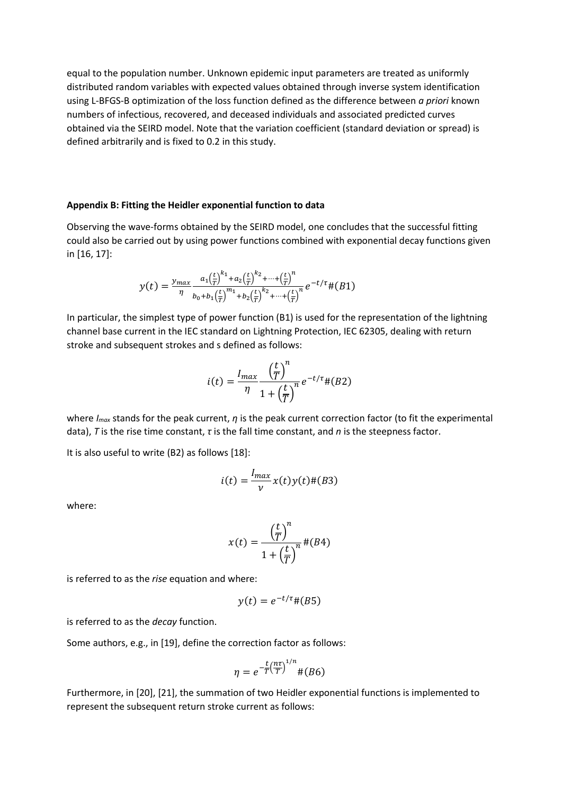equal to the population number. Unknown epidemic input parameters are treated as uniformly distributed random variables with expected values obtained through inverse system identification using L-BFGS-B optimization of the loss function defined as the difference between *a priori* known numbers of infectious, recovered, and deceased individuals and associated predicted curves obtained via the SEIRD model. Note that the variation coefficient (standard deviation or spread) is defined arbitrarily and is fixed to 0.2 in this study.

## **Appendix B: Fitting the Heidler exponential function to data**

Observing the wave-forms obtained by the SEIRD model, one concludes that the successful fitting could also be carried out by using power functions combined with exponential decay functions given in [16, 17]:

$$
y(t) = \frac{y_{max}}{\eta} \frac{a_1(\frac{t}{T})^{k_1} + a_2(\frac{t}{T})^{k_2} + \dots + (\frac{t}{T})^n}{b_0 + b_1(\frac{t}{T})^{m_1} + b_2(\frac{t}{T})^{k_2} + \dots + (\frac{t}{T})^n} e^{-t/\tau} \# (B1)
$$

In particular, the simplest type of power function (B1) is used for the representation of the lightning channel base current in the IEC standard on Lightning Protection, IEC 62305, dealing with return stroke and subsequent strokes and s defined as follows:

$$
i(t) = \frac{I_{max}}{\eta} \frac{\left(\frac{t}{T}\right)^n}{1 + \left(\frac{t}{T}\right)^n} e^{-t/\tau} \# (B2)
$$

where *Imax* stands for the peak current, *η* is the peak current correction factor (to fit the experimental data), *T* is the rise time constant, *τ* is the fall time constant, and *n* is the steepness factor.

It is also useful to write (B2) as follows [18]:

$$
i(t) = \frac{I_{max}}{v}x(t)y(t) \#(B3)
$$

where:

$$
x(t) = \frac{\left(\frac{t}{T}\right)^n}{1 + \left(\frac{t}{T}\right)^n} \#(B4)
$$

is referred to as the *rise* equation and where:

$$
y(t) = e^{-t/\tau} \# (B5)
$$

is referred to as the *decay* function.

Some authors, e.g., in [19], define the correction factor as follows:

$$
\eta = e^{-\frac{t}{T} \left(\frac{n\tau}{T}\right)^{1/n}} \#(B6)
$$

Furthermore, in [20], [21], the summation of two Heidler exponential functions is implemented to represent the subsequent return stroke current as follows: